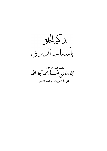

تأليف الفقير إلى الله تعالى<br>عجم الله من جمع الله الله التجا رالله غفر الله له ولوالديه ولجميع المسلمين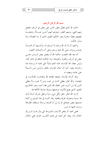بسم الله الرحمن الرحيم

الحمد لله الذي فضَّل بعض الناس على بعض في الرزق، فجعل منهم الغني، ومنهم الفقير، ليبلوهم أيهم أحسن عمـــلاً، وليتخـــذ بعضهم بعضًا سخريًا وهو الحكيم العليم، الذي لا راد لقضائه، ولا مىدل لحكمه.

وأشهد أن لا إله الله وحده لا شريك له، وأشــــهد أن محمــــدًا عبده ورسوله، صلى الله عليه وسلم وعلى آله وأصحابه أجمعين.

أما بعد فقد اقتضت حكمة الله أن يفضل بعض النــــاس علــــى بعض في الرزق، والقوة، والصحة، وله الحكمة البالغة في ذلك كله، وليس عطاء الله للإنسان هذه النعم دليلاً على محبته له ورضاه عنه وكرامته عليه، كما أن ابتلاء الانسان بالفقر والمرض ليس دلسيلاً علي إهانته وبغضه له.

وإنما كرامة الإنسان بتوفيقه لطاعة الله وإهانتـــه بخذلانـــه في معصيته. والله تعالى يعطي الدنيا من يحب ومن لا يحب، ولا يعطي الدين إلا من أحب، فمن أعطاه الله الدين فقد أحبه، وهو الحكـــيم العليم، الذي يضع الأشياء مواضعها ويترلها منازلها اللائقة بما.

ثم إن الله تعالى جعل لكل شيء سببًا وحعل للرزق أسبابًا يُنال ها حسية ومعنوية، قولية وفعلية، وقد كتبت في هذا الموضوع كلمة ضمنتها بعض مؤلفاتي ثم بدا لي أن أفردها برسالة مستقلة، فأفردهّا وزدت عليها ما تبسر .

فعلى العبد أن يفعل الأسباب المشروعة التي ينال بمسا السرزق الحلال وأن يبتعد كل البعد عن طرق الكسب الحرام، ففي الحلال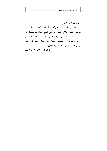بركة وكفاية عن الحرام. و هذه الرسالة مستفادة من كلام الله تعالى وكلام رسول صلى الله عليه وسلم وكلام المحققين من أهل العلم. أسأل الله تعـــالى أن ينفع هما وأن يوسع لنا في الرزق الحلال، وأن يكفينا بحلالـــه عــــن حرامه، وبطاعته عن معصيته وبفضله عمن سواه وصلى الله وسلم على نبينا محمد وعلى آله وصحبه أجمعين.

المؤلف في ١٤١١/٦/٢٠ هـ

٦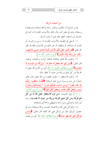## من أسباب الرزق

يؤمن المسلم أنه مكتوب ومقدر رزقه وأجله وعمله وشـــقاوته وسعادته وهو في بطن أمه، ينال ذلك بالأسباب المقدرة له، كما في حديث ابن مسعود المتفق عليه فمن أسباب الرزق:

١– السعي في تحصيله بالأسباب المقدرة له: مــــن زراعــــة، أو تِحارة، أو صناعة، أو وظيفة، أو غير ذلك من الأسباب المقدرة، قال الله تعالى ﴿هُوَ الَّذي جَعَلَ لَكُمُ الأَرْضَ ذَلُولاً فَامْشُوا فـــي مَنَاكبهَـــا وَكُلُوا منْ رِزْقه وَإِلَيْه النُّشُورُ﴾ [سورة الملك، الآية ١٥].

٢- وتقوى الله تعالى وطاعته بامتثال أوامره واحتناب نواهيه، قال تعالى: ﴿وَمَنْ يَتَّقِ اللَّهَ يَجْعَلْ لَهُ مَخْرَجًا \* وَيَرْزُقْهُ منْ حَيْــثُ لا يَحْتَسبُ﴾ [سورة الطلاق، الآيتان ٢، ٣]، أي من أطاع الله جعل له مخرجًا من كل ضيق ورزقه من حيث لا يخطر بباله.

٣– وكثرة الاستغفار — طلب المغفرة من الله تعالى، قال تعالى إخبارًا عن نبيه ورسوله نوح عليه السلام: ﴿فَقُلْتُ اسْتَغْفِرُوا رَبَّكُمْ إِنَّهُ كَانَ غَفَّارًا \* يُرْسل السَّمَاءَ عَلَيْكُمْ ملْرَارًا \* وَيُمْددْكُمْ بِـــأَمْوَال وَبَنينَ وَيَجْعَلْ لَكُمْ جَنَّات وَيَجْعَلْ لَكُمْ أَنْهَارًا﴾ [سورة نوح، الآيات: ١٠-١٢]. وفي الحديث: «من لزم الاستغفار جعل الله له من كل هَم فرجًا ومن كل ضيق مخرجًا ورزقه من حيث لا يحتسب» رواه أبو داود والنسائي وابن ماحه والبيهقي والحاكم وصححه.

٤– والتوكل على الله، والاعتماد عليـــه، والاســـتعانة بـــه في حصول الرزق، فإن من توكل على الله كفاه، قال تعالى: ﴿وَمَـــنْ يَتَوَكَّلْ عَلَى الله فَهُوَ حَسْبُهُ﴾ [سورة الطلاق، الآية ٣]. أي من يعتمد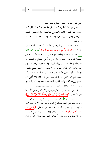على الله وحده في حصول مطلوبه فهو كافيه.

وقال ﷺ: «لو أنكم توكلون على الله حق توكله لرزقكم كما يرزق الطير تغدوا خماصًا وتسروح بطانًـــا» رواه الامـــام أحمـــد والترمذي وقال حسن صحيح والنسائي وابن ماحه وابسن حبسان والحاكين

٥– والدعاء بحصول الرزق فإن الله هو الرزاق ذو القوة المتين، قال تعالى: ﴿وَقَالَ رَبُّكُمُ ادْعُونِي أَسْتَجِبْ لَكُمْ﴾ [سورة غافر، الآية ٦٠] فقد أمر بالدعاء وتكفل بالإحابة إذا لم يمنع من ذلك مانع من معصية الله بترك واجب أو فعل محرم أو أكل حــــرام أو لبـــــسه أو استبطاء الإجابة تقول: يا رزَّاق ارزقني وأنت حير الرازقين، اللَّـــهم إني أسألك رزقًا طيبًا واسعًا يا من لا تغيض خزائنـــه مــــع كثــــرة الإنفاق، اللهم اكفني بحلالك عن حرامك وبفضلك عمن سـواك، اللهم قنعني بما رزقتني وبارك لي فيما آتيتني قال ﷺ: «قلَّد أفلح من أ**سلم ورزق كفافًا وقنعه الله بما** آتاه» رواه أحمد ومسلم والترمذي وابن ماجه عن عبدالله بن عمرو ورمز السيوطي لصحته.

٦– من أسباب الرزق الكرم والجود والإنفاق في سبيل الله كما قال الله تعالى: ﴿وَمَا أَنْفَقْتُمْ منْ شَيْءٍ فَهُوَ يُخْلَفُهُ وَهُوَ خَيْرُ الرَّازِقِينَ﴾ [سورة سبأ، الآية ٣٩]، أي مهما أنفُقتم من شيء فيما أمركم بـــه وأباحه لكم فهو يخلفه عليكم في الدنيا بالبدل وفي الآخرة بسالأجر والثواب. وفي الحديث القدسي قال الله تبارك وتعالى: ﴿ إِ ابْنِ آدَم انفق أنفق عليك؟ رواه مسلم وقال ﷺ: (ما من يوم يصبح العبـــاد فيه إلا ملكان ينزلان فيقول أحدهما اللهم اعط منفقًا خلفًا، ويقول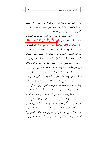الآخر اللهم اعط ممسكًا تلفًا) رواه البخاري ومسلم، وقال عليــه الصلاة والسلام: (ما نقصت صدقة من مال) رواه مسلم، فليثــق المنفق بوعد الله ولبنفق مما , ; قه الله .

٧- والحمد والشكر لله على رزقه ونعمه عمومًا، فإن الـــشكر مقرون بالمزيد، قال تعالى: ﴿وَإِذْ تَأَذَّنَ رَبُّكُمْ لَتِنْ شَكَرْتُمْ لأَزِيــــدَنَّكُمْ وَلَئنْ كَفَرْتُمْ إنَّ عَذَابي لَشَديدٌ﴾ [سورة إبراهيم، الآية ٧]، اللهم لك الحمد والشكر والثناء على حزيل أنعامك والحمد لله الذي بنعمتـــه تتم الصالحات، والحمد لله الذي فضلنا على كشير مسن عبساده المؤمنين، والحمد لله حمدًا كثيرًا طيبًا مباركًا فيه كما يحـــب ربنـــا ويرضى، وكما ينبغي لجلاله وعظيم سلطانه، وصلوات الله وسلامه على حير حلقه وأنبيائه وعلى آله وأصحابه وأتباعه إلى يوم الدين.

تنبيه: الإنسان بطبيعته يحب الغبي ويكره الفقر وهسو لا يعلسم عواقب الأمور ورب قليل حير من كثير وما قل وكفي حسير ممسا كثر وألهي، ولعله يجمع المال من حلال وحرام، ثم يموت ويتركسه لورثته فيكون لهم غنمه وعليه غرمه له الشوك وللوارث الرطــب وسوف يسأل عن ماله من أين اكتسبه وفيم أنفقه، وأغبط النساس في هذه الحياة وأسعدهم فيها من كان رزقه بقدر حاجته وكفايته، لا فقر ينسى ولا غني يطغي، ولهذا حكم الرسول ﷺ بالفلاح لمــــن أسلم ورزق كفافًا وقنعه الله بما آتاه. في الحديث الذي رواه مسلم، ودعا لأهل بيته أن يكون رزقهم في الدنيا بقدر القوت، فقـــال في الحديث الذي رواه مسلم والترمذي وابن ماجه (اللهم احعل رزق آل محمد في الدنيا قوتًا) ولا يختار لهم إلا الأفضل، وقلة المال أيسر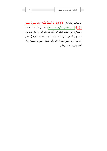للحساب وقال تعالى: ﴿لِمَلْ تُؤْثِرُونَ الْحَيَاةَ اللُّنْيَا \* وَالْأَحْسِرَةُ خَيْسِرٌ وَأَبْقَى﴾ [سورة الأعلى، الآيتان ١٦، ١٧]، وقـــال عليـــه الـــصلاة والسلام: (من كانت الدنيا همه فرَّق الله عليه أمره وجعل فقره بين عينيه و لم يأته من الدنيا إلا ما كتب له ومن كانت الآخرة نيَّته جمع الله عليه أمره وجعل غناه في قلبه وأتته الدنيا وهـــي راغمـــة) رواه أحمد وابن ماجه والترمذي.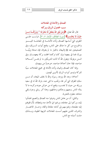۱۱

الصدق والأمانة في المعاملات سبب لحصول الرزق وبركته قال الله تعالى: ﴿وَمَنْ يَتَّقِ اللَّهَ يَجْعَلْ لَهُ مَخْرَجًا \* وَيَرْزُقْــهُ مِـــنْ حَيْثُ لا يَحْتَسبُ﴾ [سورة الطلاق، الآيتان ٢، ٣]. فرتـــب علــــي التقوى التي أساسها الصدق وأداء الأمانـــة في المعاملـــة التيـــسير والخروج من كل ما ضاق على الناس، وفتح أبواب الــــرزق، وفي الصحيحين عنه ﷺ (البيعان بالخيار ما لم يتفرقا، فإن صدقا وبيَّنـــا بورك لهما في بيعهما وإن كذبا وكتما محقت بركة بيعهمـــا). وفي السنن مرفوعًا: (يقول الله أنا ثالث الشريكين ما لم يخــــن أحــــدهما صاحبه، فإذا حان أحدهما صاحبه، حرجتُ من بينهما).

وإنما كان الصدق والبيان وأداء الأمانة في جميع المعاملات سببًا للبركة وتيسير أبواب الرزق لأمرين مُهمين.

أحدهما: وعد الله ووعد رسوله والله لا يخلف الميعاد، أن مــــن سلك الطرق التي أمر ها، وتجنب ما نُمي عنه، بارك الله له في سعيه ورزقه من حيث لا يحتسب، وفتح له من خزائن جوده وكرمه ما لا يناله الناس بسعيهم وحدّهم وحذقهم، وهذا أمر ربايي وجزاء إلهي مشاهد معلوم بالتجربة.

والثاين: أن من عامل الناس وعرفوا منه الصدق والنصح اطمأنوا إليه، وركنوا إلى معاملته، ورغبوا في الأخذ منه وإعطائه، لأن قلوهم إليه مطمئنة، ونفوسهم إلى أمانته منقادة واثقة، وحــاز الاعتبـــار والشرف اللذين عليهم أسست المعاملات النزيهة الطيبة، وبـــذلك مشت أسبابه مع الناس.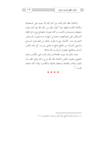وكذلك عقد الشركات بين الشركاء إذا بنيت على السصدق والأمانة أفادت أهلها حيرًا كثيرًا، فإنه من كان الله معه أيده بعونه وتوفيقه وتسديده؛ وكانت حركاته مقرونة بالنجاح مع ما في اتفاق الشريكين على مصالحهما واحتماع رأيهما، وحــصول التــشاور الذي هو مدار الأعمال مع ما يقترن بذلك من التعـــاون البــــدني والسعي المشترك من المنافع ودفع ما يخشى ضرره، كل هذه الأمور أسباب ومفاتيح لحصول الرزق وبركته ونمائه.

وضد ذلك إذا بنيت المعاملات والشركات على الكذب وعدم النصح وحصول الغش والخيانة، فإن الله ينزع بركته ويحل المحق بدل ذلك، وتتأخر المعاملة، وتنحط بالخيانة والكذب، وهذا كله مشاهد جي پ ( ا) ِ

<sup>(1)</sup> الرياض الناضرة للشيخ عبدالرحمن بن ناصر السعدي ص ٢١٦.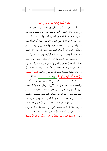بيان الحكمة في تفاوت الناس في الرزق

الحمد لله الواحد القهار الحكيم في حلقه وشرعه، ففي خلقــه وفي شرعه غاية الحكم والأسرار، قسم الرزق بين عباده ما بين غني واقتار، لتقوم مصالح العباد في المعاش والمعاد، وأشهد أن لا إلــــه إلا الله وحده لا شريك له الغني الكريم الجواد، وأشهد أن محمدًا عبده ورسوله سيد الرسل وخلاصة العباد، وأبلغ الناس في الزهد والورع والشكر والصبر على أحكام الملك الجبار صلى الله عليه وعلى آلسه وأصحابه والتابعين لهم بإحسان آناء الليل والنهار وسلم تسليمًا.

أما بعد... أيها المسلمون: اتقوا الله تعالى واعلموا أن الله لــه الحكمة البالغة في الخلق والتقدير والتضييق على عباده والتيسير، وله الحكمة البالغة في الحكم والتشريع، فأحكام شريعته كلسها عسدل ورحمة وحكمة مصلحة للعباد في دنياهم وأخراهم: ﴿وَمَنْ أَحْـــسَنُ منَ الله حُكْمًا لقَوْمٍ يُوقَنُونَ﴾ [سورة المائدة، الآية ٥٠]. فله الحمد في منعه وعطائه، وعلى العباد إذا وسع عليهم أرزاقهم أن يـــشكروه، ويقوموا بما يجب عليهم في هذه الأرزاق، وعلى العباد إذا قــــدرت عليهم أرزاقهم أن يصبروا على تقدير الواحد الخلاق، فهو أعلـــم بمصالحهم وهو أرحم هم من أُمهالهم، لقد قسم العلــيم الحكــيم الرزق على عباده، فمنهم من بسط له في رزقه، ومنهم من قـــــدر عليه رزقه، وذلك لحَكم عظيمة باهرة، قسم الله الرزق على عباده ليعرفوا بذلك أنه المدبر لجميع الأمور، وأن بيده مقاليد الـــسموات والأرض، فهذا يوسَّع عليه والآخر يضيَّق عليـــه، ولا راد لقـــضائه وقدره: ﴿لِيَبْسُطُ الرِّزْقَ لمَنْ يَشَاءُ منْ عبَاده وَيَقْدرُ لَهُ إنَّ اللهَ بكُــلِّ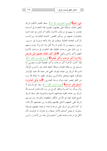شَيْءِ عَلَيْمٌ﴾ [سورة الشورى، آية ١٢]. بسط العليم الحكيم الرزق لبعض العباد، وضيَّقه على بعضهم، ليعتبروا هذا التفاوت في الــــدنيا تفاوت ما بينهم في درجات الآخرة، فكما أن الناس في هذه الدنيا متفاوتون، فمنهم من يسكن القصور المشيدة العاليـــة، ويركـــب المراكب الفخمة الغالية، ويتقلب في ماله وأهله وبنيــــه في ســــرور وحبور، ومنهم من لا مأوى له ولا أهل ولا مال ولا بنون، ومنهم ما بين ذلك على درجات مختلفة، فإن التفاوت في درجات الآخرة أعظم وأكبر وأحل وأبقى: ﴿الْظُرْ كَيْفَ فَضَّلْنَا بَعْضَهُمْ عَلَى بَعْسِض وَلَلآخرَةُ أَكْبَرُ دَرَجَاتٍ وَأَكْبَرُ تَفْضيلاً﴾ [سورة الإسراء، الآية ٢١]. فإذا كانت الآخرة أكبر درجات وأكبر تفضيلاً فإنسه ينبغسي أن نتسابق إلى درجالها العالية وحيالها الباقية ذلك حير وأحسن تأويلاً، قسم الله الرزق بين عباده ليعرف الغنى قدر نعمة الله عليه بالإيسار فيشكره عليها ويلتحق بالشاكرين، ويعرف الفقير ما ابتلاه الله بــــه من الفقر فيصبر عليه وينال درجة الصابرين: ﴿إِنَّمَا يُوَفَّى الصَّابِرُونَ أَجْرَهُمْ بغَيْرِ حسَابٍ﴾ [سورة الزمر، الآية ١٠]، وهو مع ذلـــك لا يزال يسأل ربه الميسرة وينتظر الفرج من رب العــــالمين، قـــــسم الله الرزق بين عباده لتقوم مصالحهم الدينية والدنيوية، فلو بسط الرزق لجميع العباد لبغوا في الأرض بالكفر والطغيان والفساد، ولو ضـــيق الرزق على جميعهم لاحتل نظامهم وتماوت من معيشتهم الأركان، لو كان الناس في الرزق على درجة واحدة لم يتخذ بعضهم بعـــضًا سخريًا، لم يعمل أحدهم للأخر صنعة، ولم يحترف له بحرفــة، لأن الكل في درجة واحدة، فليس أحدهم أولى هذا من الآخـــر، أيــــن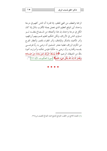الرحمة والعطف من الغني للفقير، إذا قدرنا أن الناس كلهم في درجة واحدة، أين الموقع العظيم الذي يحصل بصلة الأقارب بالمال إذا كان الكلِّ في درجة واحدة، إن هذا وأضعافه من المـــصالح يفقـــد لــــو تساوى الناس في الأرزاق، ولكن الحكيم العليم قسم بينهم أرزاقهم، وأمر الأغنياء بالشكر والإنفاق، وأمر الفقراء بالصبر وأنتظار الفرج من الكريم الرزاق، فعلينا معشر المسلمين أن نرضي به ربًّا فنرضـــي بقسمه وأقداره، وأن نرضي به حَكَمًا فنؤمن بحكمه وأسراره، أعوذ بالله من الشيطان الرحيم: ﴿اللَّهُ يَبْسُطُ الرِّزْقَ لَمَنْ يَشَاءُ منْ عَبَــاده وَيَقْدرُ لَهُ إِنَّ اللَّهَ بِكُلِّ شَيْءٍ عَلَيْمٌ﴾ [سورة العنكبوت، الآية ٢٢]<sup>(١)</sup>.

(1) الضياء اللامع من الخطب الجوامع للشيخ محمد الصالح العثيمين ص٢٩٨.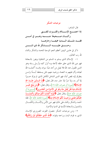مه جبات الشک

قال الشاعر : إذا اجتمعه الإسللام والقسوت للفستي وكــــان صـــــحيحًا جـــــسمه وهـــــو في أمـــــن فقسد ملسك السدنيا جميعسا وحازهسا وحــــــــق عليـــــــــه الــــــــشكر لله ذي المــــــــن ذكر في هذين البيتين أعظم النعم الموجبة للحمد والشكر والثناء

لله , ب العالمي*ن.* 

١– الإسلام الذي يسلم به المسلم من الشقاوة ويفوز بالسعادة فهو دين الله الذي حلق حلقه لأجله وبه أنزل كتبه وأرسل رسله وهو الدين المقبول عند الله فلا يقبل من أحد دينًا سواه، وقـــد أكملـــه الله لعباده وأتم عليهم به النعمة، ورضيه منهم، فلن يسخطه أبـــدًا ولـــن يتطرق إليه نقص أبدًا، فهو الدين الشامل الكامل الذي لم يترك حــــــــرًا إلا أمر به، ولا شرًا إلا حذر منه، قال تعالى: ﴿إِنَّ الْسُدِّينَ عِنْسَدَ الله الإِسْلامُ﴾ [سورة آل عمران، الآية ١٩]، وقال تعالى: ﴿وَمَنْ يَبْتَغِ غَيْـــرَ الإِسْلام دينًا فَلَنْ يُقْبَلَ منْهُ وَهُوَ في الآخرَة منَ الْخَاسرينَ﴾ [ســــورة آل عَمران، الآية ٨٥]، وقال تعالى ﴿الْيَوْمَ أَكْمَلْتُ لَكُمْ دِينَكُمْ وَأَتْمَمْــتُ عَلَيْكُمْ نعْمَتي وَرَضيتُ لَكُمُ الإِسْلامَ دينًا﴾ [سورة المائدة، الآية ٥]. فلله الحمد والشكر والثناء على ذلك فهو دين الأمن والأمسان والكمسال والشمول والسعادة الأبدية في الدنيا والآحرة.

٢- ومن موجبات الشكر حصول القوت الضروري للإنسان الذي به قوام البدن وراحته وقوته: ﴿اللَّهُ الَّذِي خَلَقَكُمْ ثُمَّ رَزَقَكُمْ﴾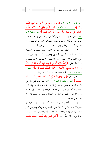[سورة الروم، الآية ٤٠]، ﴿وَمَا منْ دَابَّة في الْأَرْضِ إِلَّا عَلَى اللَّـــه رِزْقُهَا﴾ [سورة هود، الآية ٦]، ﴿هُوَ الَّذَي جَعَلَ لَكُمُ الأَرْضَ ذَلُولاً فَامْشُوا في مَنَاكبهَا وَكُلُوا منْ رزْقه وَإلَيْه النُّشُورُ﴾ [سورة الملك،الآية ٥ ١]، وفي الحديث: (من أصبح آمنًا في سربه معافي في جسده عنده قوت يومه فكأنما حيزت له الدنيا بحــــذافيرها) رواه البخــــاري في الأدب المفرد، والترمذي وابن ماحه ورمز السيوطي لحسنه.

٣- ومن أعظم النعم الموجبة للشكر صحة البـــدن والعقــــل والسمع والبصر واليدين والرحلين والعينين واللسان والشفتين وقد قيل: (الصحة تاج على رؤوس الأصحاء لا يعرفها إلا المرضــي). وقال الله تعالى: ﴿وَاللَّهُ أَخْرَجَكُمْ منْ بُطُون أُمَّهَاتِكُمْ لا تَعْلَمُونَ شَيْئًا وَجَعَلَ لَكُمُ السَّمْعَ وَالأَبْصَارَ وِالأَفْئِدَةَ لَعَلَّكُمْ تَــشْكُرُونَ﴾ [ســـورة النحل، الآية ٧٨]، فلله الحمد والشكر والثناء على ذلك.

وقال تعالى: ﴿أَلَمْ نَجْعَلْ لَهُ عَيْنَيْنِ \* وَلِسَانًا وَشَفَتَيْنِ \* وَهَـــٰدَيْنَاهُ ا**لنَّجْدَيْنِ﴾ [**سورة البلد، الآيات ٨ – ١٠]. وقد حث النبي ﷺ على اغتنام الصحة بالعمل الصالح قبل المرض، قال عليه الصلاة والسلام: (اغتنم خمسًا قبل خمس: شبابك قبل هرمك وصحتك قبل سقمك وحياتك قبل موتك وفراغك قبل شغلك وغناك قبل فقـــرك) رواه الحاكم وصححه.

٤- و من أعظم النعم الموجبة للشكر، الأمن والاســـتقرار في الأوطان حيث يأمن الإنسان على نفسه وأهله وماله وهو من النعم التي لا يعرفها إلا من فقدها ولا يحصل الأمن التام في الدنيا والاخرة إلا للمؤمنين قال الله تعالى: ﴿الَّذِينَ آمَنُوا وَلَمْ يَلْمِسُوا إِيمَانَهُمْ بِظُلْـــمِ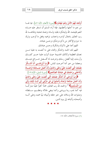أُولَٰئِكَ لَهُمُ الأَمْنُ وَهُمْ مُهْتَدُونَ﴾[سورة الأنعام، الآية ٨٢]. فيا لهـــا من نعم ما أحلها وأعظمها. فإذا أراد المسلم أن تستقر عليه هـــذه النعم فليحمد الله وليشكره بقلبه ولسانه وعمله بمحبته وطاعتـــه لله رب العالمين بامتثال أوامره واحتناب نواهيه وفعل ما أوجب وترك ما حرم والإكثار من ذكره وشكره وحسن عبادته.

اللهم أعنا على ذكرك وشكرك وحسن عبادتك.

اللهم لك الحمد والشكر والثناء على ما أنعمت به علينا مـــــن نعمك العظيمة وآلائك الجسيمة حيث أنزلت علينا خسير كتبلك وأرسلت إلينا أفضل رسلك وشرعت لنا أفسضل شـــرائع دينـــك وجعلتنا من حير أمة أحرجت للناس. ﴿وَلِبٍّ أَوْزِعْنِــــى أَنْ أَشْـــكُرَ نِعْمَتَكَ الَّتِي أَنْعَمْتَ عَلَيَّ وَعَلَى وَاللَّايَّ وَأَنْ أَعْمَلَ صَـــالحًا تَرْضَـــاهُ وَأَدْخِلْنِي بِرَحْمَتِكَ فِي عِبَادِكَ الصَّالِحِينَ﴾ [سورة النمل، الآية: ٩ ١]. ﴿(رَبِّ أَوْزِعْنِي أَنْ أَشْكُرَ نِعْمَتَكَ الَّتِي أَنْعَمْتَ عَلَىَّ وَعَلَى وَاللَّيَّ وَأَنْ أَعْمَلَ صَالحًا تَرْضَاهُ وَأَصْلحْ لي في ذَرِّيَّتي إنِّي تُبْتُ إلَيْكَ وَإنِّي مِنَ الْمُسْلِمِينَ﴾ ('' والحمد لله رب العالمين حمدًا كثيرًا طيبًا مباركًـــا فيه كما يحب ربنا ويرضى وكما ينبغي لجلاله وعظسيم سلطانه وصلوات الله وسلامه على حير حلقه وأنبيائه نبيًا محمد وعلى آلــه وأصحابه وأتباعه إلى يوم الدين.

(1) سورة الأحقاف، الآية :١٥.